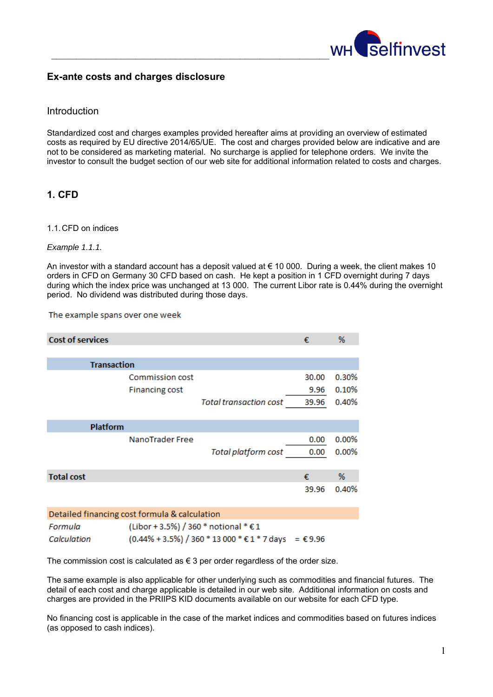

## **Ex-ante costs and charges disclosure**

## **Introduction**

Standardized cost and charges examples provided hereafter aims at providing an overview of estimated costs as required by EU directive 2014/65/UE. The cost and charges provided below are indicative and are not to be considered as marketing material. No surcharge is applied for telephone orders. We invite the investor to consult the budget section of our web site for additional information related to costs and charges.

# **1. CFD**

#### 1.1. CFD on indices

#### *Example 1.1.1.*

An investor with a standard account has a deposit valued at € 10 000. During a week, the client makes 10 orders in CFD on Germany 30 CFD based on cash. He kept a position in 1 CFD overnight during 7 days during which the index price was unchanged at 13 000. The current Libor rate is 0.44% during the overnight period. No dividend was distributed during those days.

#### The example spans over one week

| <b>Cost of services</b>                       |                               | €     | %        |
|-----------------------------------------------|-------------------------------|-------|----------|
|                                               |                               |       |          |
| <b>Transaction</b>                            |                               |       |          |
| <b>Commission cost</b>                        |                               | 30.00 | 0.30%    |
| <b>Financing cost</b>                         |                               | 9.96  | 0.10%    |
|                                               | <b>Total transaction cost</b> | 39.96 | 0.40%    |
|                                               |                               |       |          |
| Platform                                      |                               |       |          |
| NanoTrader Free                               |                               | 0.00  | 0.00%    |
|                                               | <b>Total platform cost</b>    | 0.00  | $0.00\%$ |
|                                               |                               |       |          |
| <b>Total cost</b>                             |                               | €     | %        |
|                                               |                               | 39.96 | 0.40%    |
|                                               |                               |       |          |
| Detailed financing cost formula & calculation |                               |       |          |

| Formula     | (Libor + 3.5%) / 360 * notional * € 1                          |  |
|-------------|----------------------------------------------------------------|--|
| Calculation | $(0.44\% + 3.5\%) / 360 * 13000 * £1 * 7 \text{ days} = £9.96$ |  |

The commission cost is calculated as  $\epsilon$  3 per order regardless of the order size.

The same example is also applicable for other underlying such as commodities and financial futures. The detail of each cost and charge applicable is detailed in our web site. Additional information on costs and charges are provided in the PRIIPS KID documents available on our website for each CFD type.

No financing cost is applicable in the case of the market indices and commodities based on futures indices (as opposed to cash indices).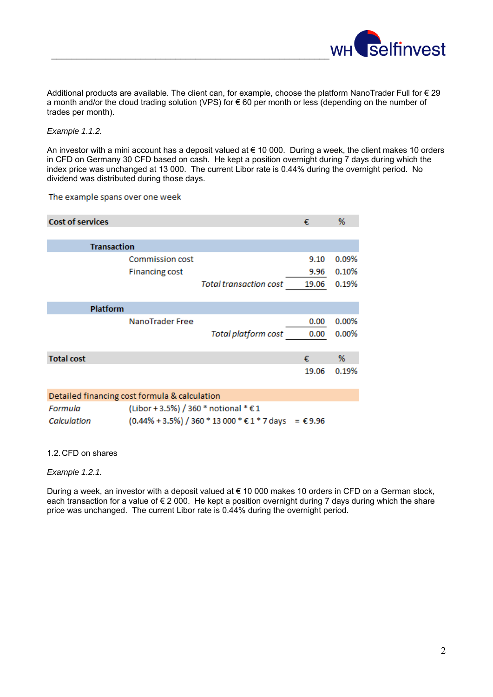

Additional products are available. The client can, for example, choose the platform NanoTrader Full for € 29 a month and/or the cloud trading solution (VPS) for € 60 per month or less (depending on the number of trades per month).

### *Example 1.1.2.*

An investor with a mini account has a deposit valued at € 10 000. During a week, the client makes 10 orders in CFD on Germany 30 CFD based on cash. He kept a position overnight during 7 days during which the index price was unchanged at 13 000. The current Libor rate is 0.44% during the overnight period. No dividend was distributed during those days.

#### The example spans over one week

| <b>Cost of services</b> |                               | €     | %     |
|-------------------------|-------------------------------|-------|-------|
| <b>Transaction</b>      |                               |       |       |
| <b>Commission cost</b>  |                               | 9.10  | 0.09% |
| <b>Financing cost</b>   |                               | 9.96  | 0.10% |
|                         | <b>Total transaction cost</b> | 19.06 | 0.19% |
|                         |                               |       |       |
| <b>Platform</b>         |                               |       |       |
| NanoTrader Free         |                               | 0.00  | 0.00% |
|                         | <b>Total platform cost</b>    | 0.00  | 0.00% |
|                         |                               |       |       |
| <b>Total cost</b>       |                               | €     | %     |
|                         |                               | 19.06 | 0.19% |

| Detailed financing cost formula & calculation |                                                           |  |  |  |
|-----------------------------------------------|-----------------------------------------------------------|--|--|--|
| Formula                                       | (Libor + 3.5%) / 360 * notional * € 1                     |  |  |  |
| Calculation                                   | $(0.44\% + 3.5\%)$ / 360 * 13 000 * € 1 * 7 days = € 9.96 |  |  |  |

#### 1.2. CFD on shares

### *Example 1.2.1.*

During a week, an investor with a deposit valued at € 10 000 makes 10 orders in CFD on a German stock, each transaction for a value of € 2 000. He kept a position overnight during 7 days during which the share price was unchanged. The current Libor rate is 0.44% during the overnight period.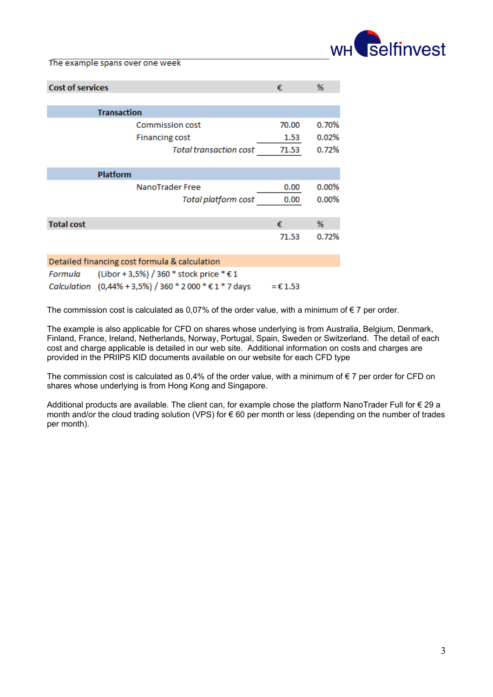

 $\mathcal{L}_\text{max}$  and  $\mathcal{L}_\text{max}$  and  $\mathcal{L}_\text{max}$  and  $\mathcal{L}_\text{max}$  and  $\mathcal{L}_\text{max}$ 

| <b>Cost of services</b> |                                                | €                 | %        |
|-------------------------|------------------------------------------------|-------------------|----------|
|                         |                                                |                   |          |
|                         | <b>Transaction</b>                             |                   |          |
|                         | <b>Commission cost</b>                         | 70.00             | $0.70\%$ |
|                         | <b>Financing cost</b>                          | 1.53              | 0.02%    |
|                         | <b>Total transaction cost</b>                  | 71.53             | 0.72%    |
|                         |                                                |                   |          |
|                         | <b>Platform</b>                                |                   |          |
|                         | NanoTrader Free                                | 0.00              | $0.00\%$ |
|                         | <b>Total platform cost</b>                     | 0.00              | $0.00\%$ |
|                         |                                                |                   |          |
| <b>Total cost</b>       |                                                | €.                | %        |
|                         |                                                | 71.53             | 0.72%    |
|                         |                                                |                   |          |
|                         | Detailed financing cost formula & calculation  |                   |          |
| Formula                 | (Libor + 3,5%) / 360 * stock price * € 1       |                   |          |
| Calculation             | $(0,44\% + 3,5\%)$ / 360 * 2000 * € 1 * 7 days | $= \epsilon 1.53$ |          |

The commission cost is calculated as 0,07% of the order value, with a minimum of  $\epsilon$  7 per order.

The example is also applicable for CFD on shares whose underlying is from Australia, Belgium, Denmark, Finland, France, Ireland, Netherlands, Norway, Portugal, Spain, Sweden or Switzerland. The detail of each cost and charge applicable is detailed in our web site. Additional information on costs and charges are provided in the PRIIPS KID documents available on our website for each CFD type

The commission cost is calculated as  $0.4\%$  of the order value, with a minimum of  $\epsilon$  7 per order for CFD on shares whose underlying is from Hong Kong and Singapore.

Additional products are available. The client can, for example chose the platform NanoTrader Full for € 29 a month and/or the cloud trading solution (VPS) for € 60 per month or less (depending on the number of trades per month).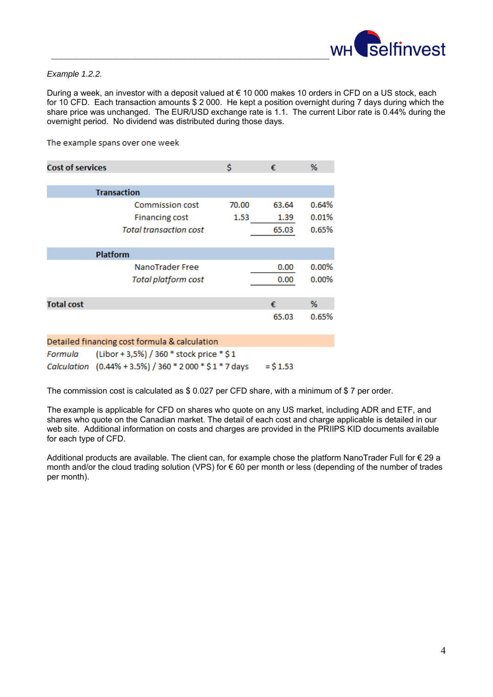

### *Example 1.2.2.*

During a week, an investor with a deposit valued at € 10 000 makes 10 orders in CFD on a US stock, each for 10 CFD. Each transaction amounts \$ 2 000. He kept a position overnight during 7 days during which the share price was unchanged. The EUR/USD exchange rate is 1.1. The current Libor rate is 0.44% during the overnight period. No dividend was distributed during those days.

The example spans over one week

| <b>Cost of services</b>       |                            | Ś     | €     | %     |
|-------------------------------|----------------------------|-------|-------|-------|
|                               |                            |       |       |       |
|                               | <b>Transaction</b>         |       |       |       |
|                               | <b>Commission cost</b>     | 70.00 | 63.64 | 0.64% |
|                               | <b>Financing cost</b>      | 1.53  | 1.39  | 0.01% |
| <b>Total transaction cost</b> |                            |       | 65.03 | 0.65% |
|                               |                            |       |       |       |
|                               | <b>Platform</b>            |       |       |       |
|                               | NanoTrader Free            |       | 0.00  | 0.00% |
|                               | <b>Total platform cost</b> |       | 0.00  | 0.00% |
|                               |                            |       |       |       |
| <b>Total cost</b>             |                            |       | €     | %     |
|                               |                            |       | 65.03 | 0.65% |
|                               |                            |       |       |       |

|         | Detailed financing cost formula & calculation                     |            |
|---------|-------------------------------------------------------------------|------------|
| Formula | (Libor + 3,5%) / 360 * stock price * \$ 1                         |            |
|         | Calculation $(0.44\% + 3.5\%) / 360 * 2000 * $1 * 7 \text{ days}$ | $=$ \$1.53 |

The commission cost is calculated as \$ 0.027 per CFD share, with a minimum of \$ 7 per order.

The example is applicable for CFD on shares who quote on any US market, including ADR and ETF, and shares who quote on the Canadian market. The detail of each cost and charge applicable is detailed in our web site. Additional information on costs and charges are provided in the PRIIPS KID documents available for each type of CFD.

Additional products are available. The client can, for example chose the platform NanoTrader Full for € 29 a month and/or the cloud trading solution (VPS) for € 60 per month or less (depending of the number of trades per month).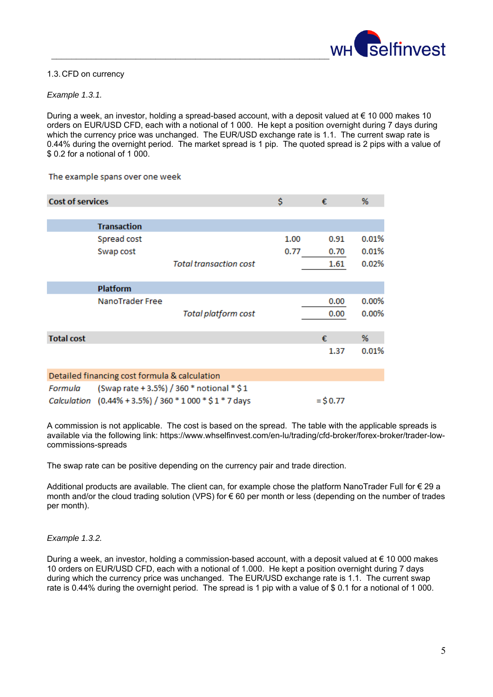

### 1.3. CFD on currency

### *Example 1.3.1.*

During a week, an investor, holding a spread-based account, with a deposit valued at € 10 000 makes 10 orders on EUR/USD CFD, each with a notional of 1 000. He kept a position overnight during 7 days during which the currency price was unchanged. The EUR/USD exchange rate is 1.1. The current swap rate is 0.44% during the overnight period. The market spread is 1 pip. The quoted spread is 2 pips with a value of \$ 0.2 for a notional of 1 000.

The example spans over one week

| <b>Cost of services</b> |                                               |                                                          | \$   | €           | %        |
|-------------------------|-----------------------------------------------|----------------------------------------------------------|------|-------------|----------|
|                         | <b>Transaction</b>                            |                                                          |      |             |          |
|                         | Spread cost                                   |                                                          | 1.00 | 0.91        | 0.01%    |
|                         | Swap cost                                     |                                                          | 0.77 | 0.70        | 0.01%    |
|                         |                                               | <b>Total transaction cost</b>                            |      | 1.61        | 0.02%    |
|                         | <b>Platform</b>                               |                                                          |      |             |          |
|                         | NanoTrader Free                               |                                                          |      | 0.00        | $0.00\%$ |
|                         |                                               | <b>Total platform cost</b>                               |      | 0.00        | 0.00%    |
| <b>Total cost</b>       |                                               |                                                          |      | €           | %        |
|                         |                                               |                                                          |      | 1.37        | 0.01%    |
|                         | Detailed financing cost formula & calculation |                                                          |      |             |          |
| Formula                 |                                               | (Swap rate + 3.5%) / 360 * notional * \$1                |      |             |          |
|                         |                                               | Calculation (0.44% + 3.5%) / 360 * 1 000 * \$ 1 * 7 days |      | $=$ \$ 0.77 |          |

A commission is not applicable. The cost is based on the spread. The table with the applicable spreads is available via the following link: https://www.whselfinvest.com/en-lu/trading/cfd-broker/forex-broker/trader-lowcommissions-spreads

The swap rate can be positive depending on the currency pair and trade direction.

Additional products are available. The client can, for example chose the platform NanoTrader Full for € 29 a month and/or the cloud trading solution (VPS) for € 60 per month or less (depending on the number of trades per month).

### *Example 1.3.2.*

During a week, an investor, holding a commission-based account, with a deposit valued at € 10 000 makes 10 orders on EUR/USD CFD, each with a notional of 1.000. He kept a position overnight during 7 days during which the currency price was unchanged. The EUR/USD exchange rate is 1.1. The current swap rate is 0.44% during the overnight period. The spread is 1 pip with a value of \$ 0.1 for a notional of 1 000.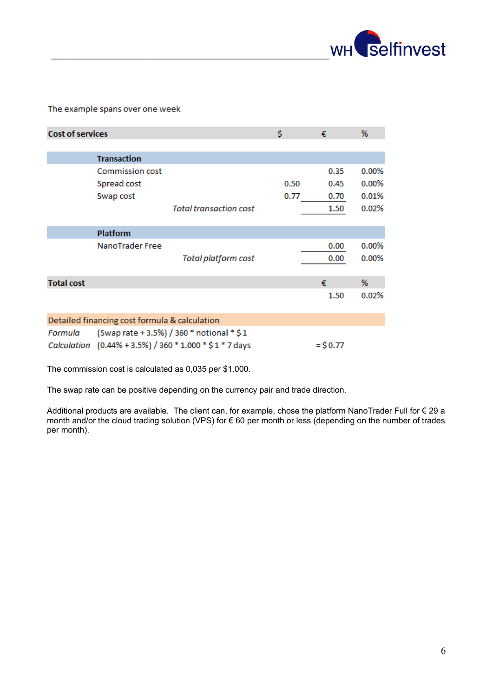

#### The example spans over one week

| <b>Cost of services</b> |                                               |                                                        | \$   | €           | %        |
|-------------------------|-----------------------------------------------|--------------------------------------------------------|------|-------------|----------|
|                         |                                               |                                                        |      |             |          |
|                         | <b>Transaction</b>                            |                                                        |      |             |          |
|                         | <b>Commission cost</b>                        |                                                        |      | 0.35        | 0.00%    |
|                         | Spread cost                                   |                                                        | 0.50 | 0.45        | $0.00\%$ |
|                         | Swap cost                                     |                                                        | 0.77 | 0.70        | 0.01%    |
|                         |                                               | <b>Total transaction cost</b>                          |      | 1.50        | 0.02%    |
|                         |                                               |                                                        |      |             |          |
|                         | <b>Platform</b>                               |                                                        |      |             |          |
|                         | NanoTrader Free                               |                                                        |      | 0.00        | 0.00%    |
|                         |                                               | <b>Total platform cost</b>                             |      | 0.00        | 0.00%    |
|                         |                                               |                                                        |      |             |          |
| <b>Total cost</b>       |                                               |                                                        |      | €           | %        |
|                         |                                               |                                                        |      | 1.50        | 0.02%    |
|                         |                                               |                                                        |      |             |          |
|                         | Detailed financing cost formula & calculation |                                                        |      |             |          |
| Formula                 | (Swap rate + 3.5%) / 360 * notional * \$1     |                                                        |      |             |          |
| Calculation             |                                               | $(0.44\% + 3.5\%)$ / 360 $*$ 1.000 $*$ \$ 1 $*$ 7 days |      | $=$ \$ 0.77 |          |

The commission cost is calculated as 0,035 per \$1.000.

The swap rate can be positive depending on the currency pair and trade direction.

Additional products are available. The client can, for example, chose the platform NanoTrader Full for € 29 a month and/or the cloud trading solution (VPS) for € 60 per month or less (depending on the number of trades per month).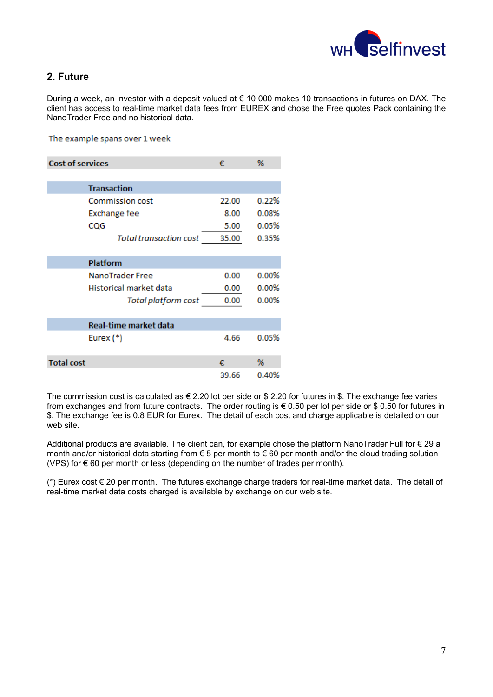

## **2. Future**

During a week, an investor with a deposit valued at € 10 000 makes 10 transactions in futures on DAX. The client has access to real-time market data fees from EUREX and chose the Free quotes Pack containing the NanoTrader Free and no historical data.

The example spans over 1 week

| <b>Cost of services</b> |                               | €     | %        |
|-------------------------|-------------------------------|-------|----------|
|                         |                               |       |          |
|                         | <b>Transaction</b>            |       |          |
|                         | <b>Commission cost</b>        | 22.00 | 0.22%    |
|                         | Exchange fee                  | 8.00  | 0.08%    |
|                         | CQG                           | 5.00  | 0.05%    |
|                         | <b>Total transaction cost</b> | 35.00 | 0.35%    |
|                         |                               |       |          |
|                         | <b>Platform</b>               |       |          |
|                         | NanoTrader Free               | 0.00  | $0.00\%$ |
|                         | Historical market data        | 0.00  | $0.00\%$ |
|                         | Total platform cost           | 0.00  | $0.00\%$ |
|                         |                               |       |          |
|                         | <b>Real-time market data</b>  |       |          |
|                         | Eurex (*)                     | 4.66  | 0.05%    |
|                         |                               |       |          |
| <b>Total cost</b>       |                               | €     | %        |
|                         |                               | 39.66 | 0.40%    |

The commission cost is calculated as € 2.20 lot per side or \$ 2.20 for futures in \$. The exchange fee varies from exchanges and from future contracts. The order routing is € 0.50 per lot per side or \$ 0.50 for futures in \$. The exchange fee is 0.8 EUR for Eurex. The detail of each cost and charge applicable is detailed on our web site.

Additional products are available. The client can, for example chose the platform NanoTrader Full for € 29 a month and/or historical data starting from € 5 per month to € 60 per month and/or the cloud trading solution (VPS) for  $\epsilon$  60 per month or less (depending on the number of trades per month).

(\*) Eurex cost € 20 per month. The futures exchange charge traders for real-time market data. The detail of real-time market data costs charged is available by exchange on our web site.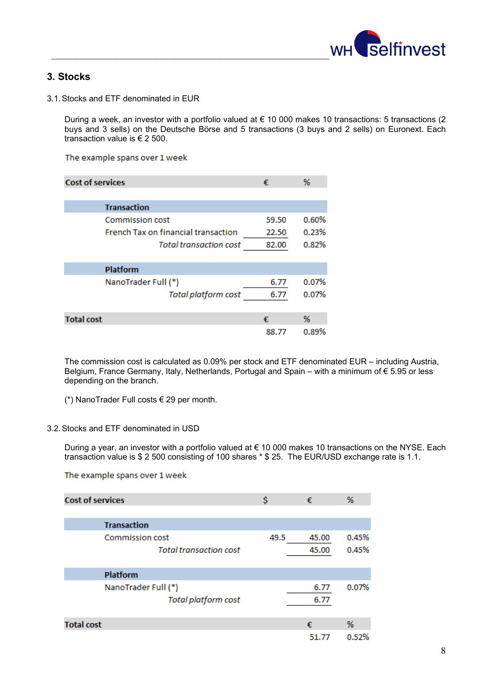

# **3. Stocks**

3.1. Stocks and ETF denominated in EUR

During a week, an investor with a portfolio valued at € 10 000 makes 10 transactions: 5 transactions (2 buys and 3 sells) on the Deutsche Börse and 5 transactions (3 buys and 2 sells) on Euronext. Each transaction value is € 2 500.

The example spans over 1 week

| <b>Cost of services</b>                    | €     | %     |
|--------------------------------------------|-------|-------|
|                                            |       |       |
| <b>Transaction</b>                         |       |       |
| <b>Commission cost</b>                     | 59.50 | 0.60% |
| <b>French Tax on financial transaction</b> | 22.50 | 0.23% |
| <b>Total transaction cost</b>              | 82.00 | 0.82% |
|                                            |       |       |
| <b>Platform</b>                            |       |       |
| NanoTrader Full (*)                        | 6.77  | 0.07% |
| <b>Total platform cost</b>                 | 6.77  | 0.07% |
|                                            |       |       |
| <b>Total cost</b>                          | €     | %     |
|                                            | 88.77 | 0.89% |

The commission cost is calculated as 0.09% per stock and ETF denominated EUR – including Austria, Belgium, France Germany, Italy, Netherlands, Portugal and Spain – with a minimum of € 5.95 or less depending on the branch.

(\*) NanoTrader Full costs € 29 per month.

### 3.2. Stocks and ETF denominated in USD

During a year, an investor with a portfolio valued at € 10 000 makes 10 transactions on the NYSE. Each transaction value is \$ 2 500 consisting of 100 shares \* \$ 25. The EUR/USD exchange rate is 1.1.

The example spans over 1 week

| <b>Cost of services</b>                           | Ŝ    | €            | %          |
|---------------------------------------------------|------|--------------|------------|
| <b>Transaction</b>                                |      |              |            |
| <b>Commission cost</b>                            | 49.5 | 45.00        | 0.45%      |
| <b>Total transaction cost</b>                     |      | 45.00        | 0.45%      |
| <b>Platform</b>                                   |      |              |            |
| NanoTrader Full (*)<br><b>Total platform cost</b> |      | 6.77<br>6.77 | 0.07%      |
| <b>Total cost</b>                                 |      | €<br>51.77   | %<br>0.52% |